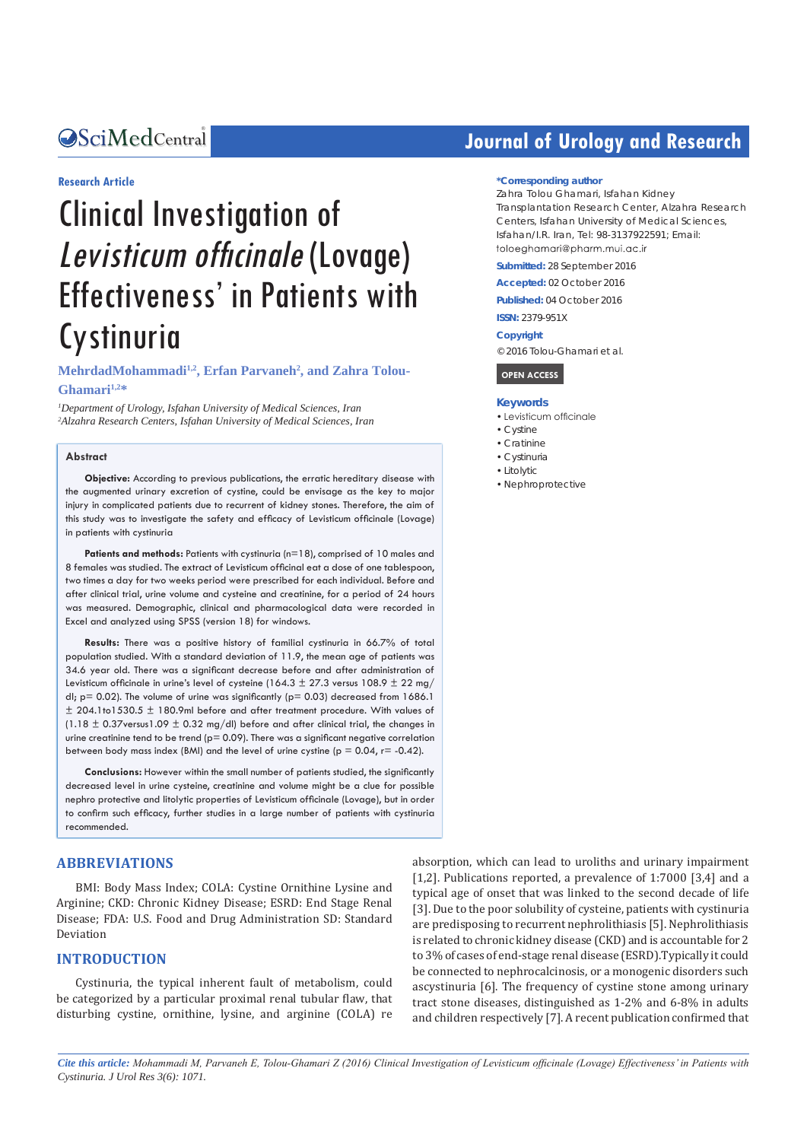#### Central *Bringing Excellence in Open Access*

#### **Research Article**

# Clinical Investigation of Levisticum officinale (Lovage) Effectiveness' in Patients with **Cystinuria**

**MehrdadMohammadi1,2, Erfan Parvaneh2 , and Zahra Tolou-**Ghamari<sup>1,2\*</sup>

*1 Department of Urology, Isfahan University of Medical Sciences, Iran 2 Alzahra Research Centers, Isfahan University of Medical Sciences, Iran*

#### **Abstract**

**Objective:** According to previous publications, the erratic hereditary disease with the augmented urinary excretion of cystine, could be envisage as the key to major injury in complicated patients due to recurrent of kidney stones. Therefore, the aim of this study was to investigate the safety and efficacy of Levisticum officinale (Lovage) in patients with cystinuria

**Patients and methods:** Patients with cystinuria (n=18), comprised of 10 males and 8 females was studied. The extract of Levisticum officinal eat a dose of one tablespoon, two times a day for two weeks period were prescribed for each individual. Before and after clinical trial, urine volume and cysteine and creatinine, for a period of 24 hours was measured. Demographic, clinical and pharmacological data were recorded in Excel and analyzed using SPSS (version 18) for windows.

**Results:** There was a positive history of familial cystinuria in 66.7% of total population studied. With a standard deviation of 11.9, the mean age of patients was 34.6 year old. There was a significant decrease before and after administration of Levisticum officinale in urine's level of cysteine (164.3  $\pm$  27.3 versus 108.9  $\pm$  22 mg/ dl;  $p = 0.02$ ). The volume of urine was significantly ( $p = 0.03$ ) decreased from 1686.1 ± 204.1to1530.5 ± 180.9ml before and after treatment procedure. With values of (1.18  $\pm$  0.37 versus 1.09  $\pm$  0.32 mg/dl) before and after clinical trial, the changes in urine creatinine tend to be trend ( $p= 0.09$ ). There was a significant negative correlation between body mass index (BMI) and the level of urine cystine ( $p = 0.04$ ,  $r = -0.42$ ).

**Conclusions:** However within the small number of patients studied, the significantly decreased level in urine cysteine, creatinine and volume might be a clue for possible nephro protective and litolytic properties of Levisticum officinale (Lovage), but in order to confirm such efficacy, further studies in a large number of patients with cystinuria recommended.

#### **ABBREVIATIONS**

BMI: Body Mass Index; COLA: Cystine Ornithine Lysine and Arginine; CKD: Chronic Kidney Disease; ESRD: End Stage Renal Disease; FDA: U.S. Food and Drug Administration SD: Standard Deviation

#### **INTRODUCTION**

Cystinuria, the typical inherent fault of metabolism, could be categorized by a particular proximal renal tubular flaw, that disturbing cystine, ornithine, lysine, and arginine (COLA) re

## **Journal of Urology and Research**

#### **\*Corresponding author**

Zahra Tolou Ghamari, Isfahan Kidney Transplantation Research Center, Alzahra Research Centers, Isfahan University of Medical Sciences, Isfahan/I.R. Iran, Tel: 98-3137922591; Email: toloeahamari@pharm muj ac ir

**Submitted:** 28 September 2016

**Accepted:** 02 October 2016

**Published:** 04 October 2016

**ISSN:** 2379-951X

**Copyright**

© 2016 Tolou-Ghamari et al.

 **OPEN ACCESS** 

#### **Keywords**

- • Levisticum officinale
- • Cystine
- • Cratinine
- • Cystinuria
- • Litolytic
- • Nephroprotective

absorption, which can lead to uroliths and urinary impairment [1,2]. Publications reported, a prevalence of 1:7000 [3,4] and a typical age of onset that was linked to the second decade of life [3]. Due to the poor solubility of cysteine, patients with cystinuria are predisposing to recurrent nephrolithiasis [5]. Nephrolithiasis is related to chronic kidney disease (CKD) and is accountable for 2 to 3% of cases of end-stage renal disease (ESRD).Typically it could be connected to nephrocalcinosis, or a monogenic disorders such ascystinuria [6]. The frequency of cystine stone among urinary tract stone diseases, distinguished as 1-2% and 6-8% in adults and children respectively [7]. A recent publication confirmed that

*Cite this article: Mohammadi M, Parvaneh E, Tolou-Ghamari Z (2016) Clinical Investigation of Levisticum officinale (Lovage) Effectiveness' in Patients with Cystinuria. J Urol Res 3(6): 1071.*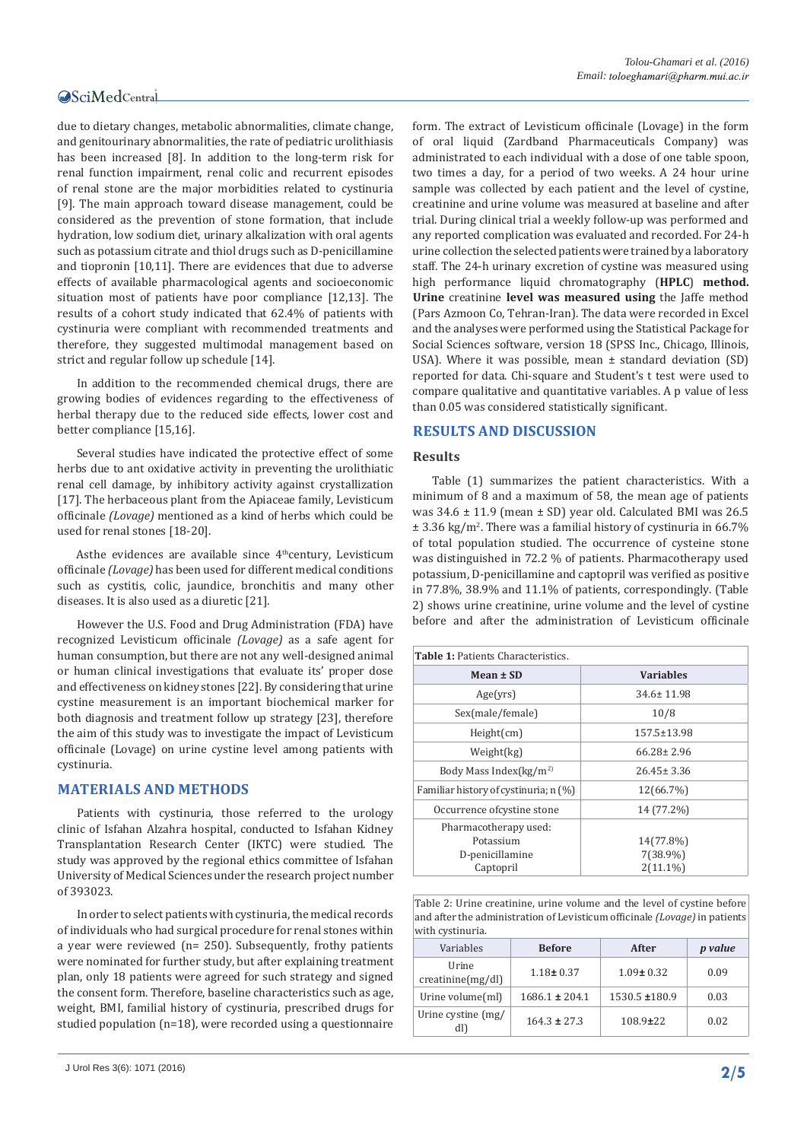due to dietary changes, metabolic abnormalities, climate change, and genitourinary abnormalities, the rate of pediatric urolithiasis has been increased [8]. In addition to the long-term risk for renal function impairment, renal colic and recurrent episodes of renal stone are the major morbidities related to cystinuria [9]. The main approach toward disease management, could be considered as the prevention of stone formation, that include hydration, low sodium diet, urinary alkalization with oral agents such as potassium citrate and thiol drugs such as D-penicillamine and tiopronin [10,11]. There are evidences that due to adverse effects of available pharmacological agents and socioeconomic situation most of patients have poor compliance [12,13]. The results of a cohort study indicated that 62.4% of patients with cystinuria were compliant with recommended treatments and therefore, they suggested multimodal management based on strict and regular follow up schedule [14].

In addition to the recommended chemical drugs, there are growing bodies of evidences regarding to the effectiveness of herbal therapy due to the reduced side effects, lower cost and better compliance [15,16].

Several studies have indicated the protective effect of some herbs due to ant oxidative activity in preventing the urolithiatic renal cell damage, by inhibitory activity against crystallization [17]. The herbaceous plant from the Apiaceae family, Levisticum officinale *(Lovage)* mentioned as a kind of herbs which could be used for renal stones [18-20].

Asthe evidences are available since 4<sup>th</sup>century, Levisticum officinale *(Lovage)* has been used for different medical conditions such as cystitis, colic, jaundice, bronchitis and many other diseases. It is also used as a diuretic [21].

However the U.S. Food and Drug Administration (FDA) have recognized Levisticum officinale *(Lovage)* as a safe agent for human consumption, but there are not any well-designed animal or human clinical investigations that evaluate its' proper dose and effectiveness on kidney stones [22]. By considering that urine cystine measurement is an important biochemical marker for both diagnosis and treatment follow up strategy [23], therefore the aim of this study was to investigate the impact of Levisticum officinale (Lovage) on urine cystine level among patients with cystinuria.

#### **MATERIALS AND METHODS**

Patients with cystinuria, those referred to the urology clinic of Isfahan Alzahra hospital, conducted to Isfahan Kidney Transplantation Research Center (IKTC) were studied. The study was approved by the regional ethics committee of Isfahan University of Medical Sciences under the research project number of 393023.

In order to select patients with cystinuria, the medical records of individuals who had surgical procedure for renal stones within a year were reviewed (n= 250). Subsequently, frothy patients were nominated for further study, but after explaining treatment plan, only 18 patients were agreed for such strategy and signed the consent form. Therefore, baseline characteristics such as age, weight, BMI, familial history of cystinuria, prescribed drugs for studied population (n=18), were recorded using a questionnaire

form. The extract of Levisticum officinale (Lovage) in the form of oral liquid (Zardband Pharmaceuticals Company) was administrated to each individual with a dose of one table spoon, two times a day, for a period of two weeks. A 24 hour urine sample was collected by each patient and the level of cystine, creatinine and urine volume was measured at baseline and after trial. During clinical trial a weekly follow-up was performed and any reported complication was evaluated and recorded. For 24-h urine collection the selected patients were trained by a laboratory staff. The 24-h urinary excretion of cystine was measured using high performance liquid chromatography (**HPLC**) **method. Urine** creatinine **level was measured using** the Jaffe method (Pars Azmoon Co, Tehran-Iran). The data were recorded in Excel and the analyses were performed using the Statistical Package for Social Sciences software, version 18 (SPSS Inc., Chicago, Illinois, USA). Where it was possible, mean  $\pm$  standard deviation (SD) reported for data. Chi-square and Student's t test were used to compare qualitative and quantitative variables. A p value of less than 0.05 was considered statistically significant.

#### **RESULTS AND DISCUSSION**

#### **Results**

Table (1) summarizes the patient characteristics. With a minimum of 8 and a maximum of 58, the mean age of patients was 34.6 ± 11.9 (mean ± SD) year old. Calculated BMI was 26.5 ± 3.36 kg/m<sup>2</sup> . There was a familial history of cystinuria in 66.7% of total population studied. The occurrence of cysteine stone was distinguished in 72.2 % of patients. Pharmacotherapy used potassium, D-penicillamine and captopril was verified as positive in 77.8%, 38.9% and 11.1% of patients, correspondingly. (Table 2) shows urine creatinine, urine volume and the level of cystine before and after the administration of Levisticum officinale

| <b>Table 1: Patients Characteristics.</b> |                   |  |
|-------------------------------------------|-------------------|--|
| Mean $\pm$ SD                             | <b>Variables</b>  |  |
| Age(yrs)                                  | $34.6 \pm 11.98$  |  |
| Sex(male/female)                          | 10/8              |  |
| Height(cm)                                | $157.5 \pm 13.98$ |  |
| Weight(kg)                                | $66.28 \pm 2.96$  |  |
| Body Mass Index( $kg/m2$ )                | $26.45 \pm 3.36$  |  |
| Familiar history of cystinuria; n (%)     | 12(66.7%)         |  |
| Occurrence of cystine stone               | 14 (77.2%)        |  |
| Pharmacotherapy used:                     |                   |  |
| Potassium                                 | 14(77.8%)         |  |
| D-penicillamine                           | 7(38.9%)          |  |
| Captopril                                 | $2(11.1\%)$       |  |

Table 2: Urine creatinine, urine volume and the level of cystine before and after the administration of Levisticum officinale *(Lovage)* in patients with cystinuria.

| Variables                        | <b>Before</b>      | After           | <i>p</i> value |
|----------------------------------|--------------------|-----------------|----------------|
| Urine<br>$c$ reatinine $(mg/dl)$ | $1.18 \pm 0.37$    | $1.09 \pm 0.32$ | 0.09           |
| Urine volume(ml)                 | $1686.1 \pm 204.1$ | 1530.5 ±180.9   | 0.03           |
| Urine cystine (mg/<br>dl)        | $164.3 \pm 27.3$   | $108.9 \pm 22$  | 0.02           |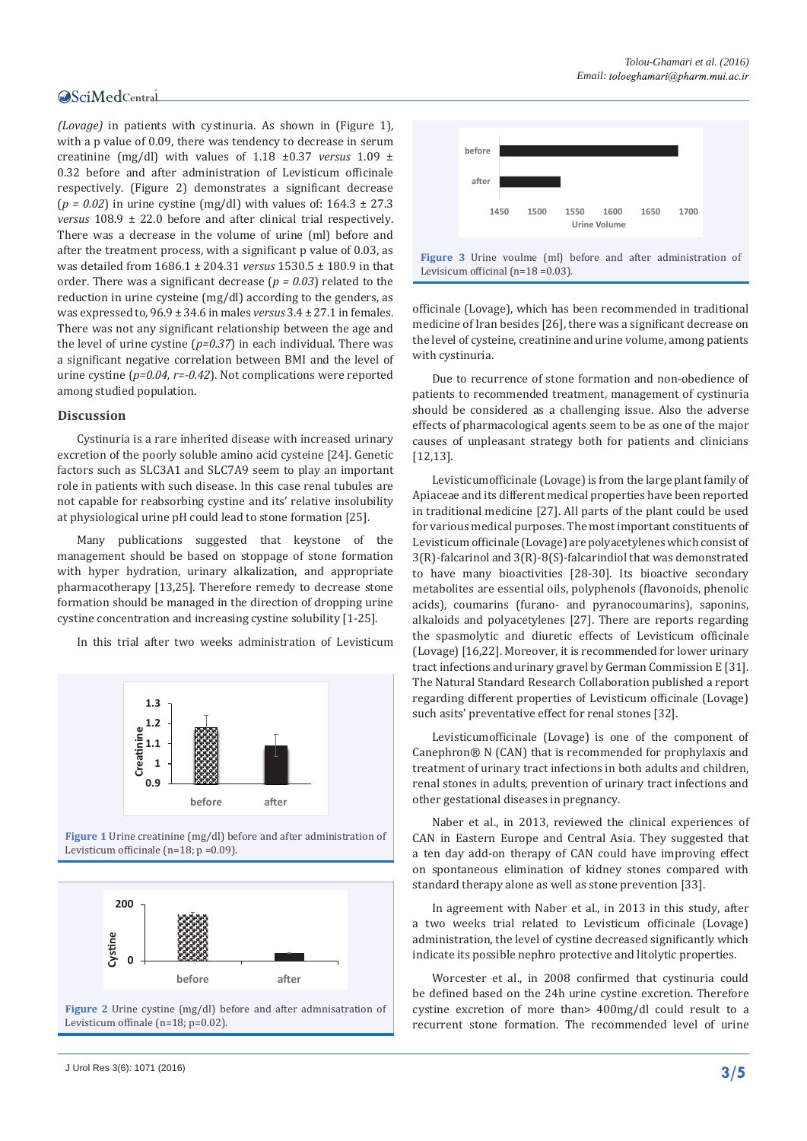*(Lovage)* in patients with cystinuria. As shown in (Figure 1), with a p value of 0.09, there was tendency to decrease in serum creatinine (mg/dl) with values of 1.18 ±0.37 *versus* 1.09 ± 0.32 before and after administration of Levisticum officinale respectively. (Figure 2) demonstrates a significant decrease  $(p = 0.02)$  in urine cystine (mg/dl) with values of:  $164.3 \pm 27.3$ *versus* 108.9 ± 22.0 before and after clinical trial respectively. There was a decrease in the volume of urine (ml) before and after the treatment process, with a significant p value of 0.03, as was detailed from 1686.1 ± 204.31 *versus* 1530.5 ± 180.9 in that order. There was a significant decrease (*p = 0.03*) related to the reduction in urine cysteine (mg/dl) according to the genders, as was expressed to, 96.9 ± 34.6 in males *versus* 3.4 ± 27.1 in females. There was not any significant relationship between the age and the level of urine cystine (*p=0.37*) in each individual. There was a significant negative correlation between BMI and the level of urine cystine (*p=0.04, r=-0.42*). Not complications were reported among studied population.

#### **Discussion**

Cystinuria is a rare inherited disease with increased urinary excretion of the poorly soluble amino acid cysteine [24]. Genetic factors such as SLC3A1 and SLC7A9 seem to play an important role in patients with such disease. In this case renal tubules are not capable for reabsorbing cystine and its' relative insolubility at physiological urine pH could lead to stone formation [25].

Many publications suggested that keystone of the management should be based on stoppage of stone formation with hyper hydration, urinary alkalization, and appropriate pharmacotherapy [13,25]. Therefore remedy to decrease stone formation should be managed in the direction of dropping urine cystine concentration and increasing cystine solubility [1-25].

In this trial after two weeks administration of Levisticum



**Figure 1** Urine creatinine (mg/dl) before and after administration of Levisticum officinale (n=18; p =0.09).



**Figure 2** Urine cystine (mg/dl) before and after admnisatration of Levisticum offinale (n=18; p=0.02).



officinale (Lovage), which has been recommended in traditional medicine of Iran besides [26], there was a significant decrease on the level of cysteine, creatinine and urine volume, among patients with cystinuria.

Due to recurrence of stone formation and non-obedience of patients to recommended treatment, management of cystinuria should be considered as a challenging issue. Also the adverse effects of pharmacological agents seem to be as one of the major causes of unpleasant strategy both for patients and clinicians [12,13].

Levisticumofficinale (Lovage) is from the large plant family of Apiaceae and its different medical properties have been reported in traditional medicine [27]. All parts of the plant could be used for various medical purposes. The most important constituents of Levisticum officinale (Lovage) are polyacetylenes which consist of 3(R)-falcarinol and 3(R)-8(S)-falcarindiol that was demonstrated to have many bioactivities [28-30]. Its bioactive secondary metabolites are essential oils, polyphenols (flavonoids, phenolic acids), coumarins (furano- and pyranocoumarins), saponins, alkaloids and polyacetylenes [27]. There are reports regarding the spasmolytic and diuretic effects of Levisticum officinale (Lovage) [16,22]. Moreover, it is recommended for lower urinary tract infections and urinary gravel by German Commission E [31]. The Natural Standard Research Collaboration published a report regarding different properties of Levisticum officinale (Lovage) such asits' preventative effect for renal stones [32].

Levisticumofficinale (Lovage) is one of the component of Canephron® N (CAN) that is recommended for prophylaxis and treatment of urinary tract infections in both adults and children, renal stones in adults, prevention of urinary tract infections and other gestational diseases in pregnancy.

Naber et al., in 2013, reviewed the clinical experiences of CAN in Eastern Europe and Central Asia. They suggested that a ten day add-on therapy of CAN could have improving effect on spontaneous elimination of kidney stones compared with standard therapy alone as well as stone prevention [33].

In agreement with Naber et al., in 2013 in this study, after a two weeks trial related to Levisticum officinale (Lovage) administration, the level of cystine decreased significantly which indicate its possible nephro protective and litolytic properties.

Worcester et al., in 2008 confirmed that cystinuria could be defined based on the 24h urine cystine excretion. Therefore cystine excretion of more than> 400mg/dl could result to a recurrent stone formation. The recommended level of urine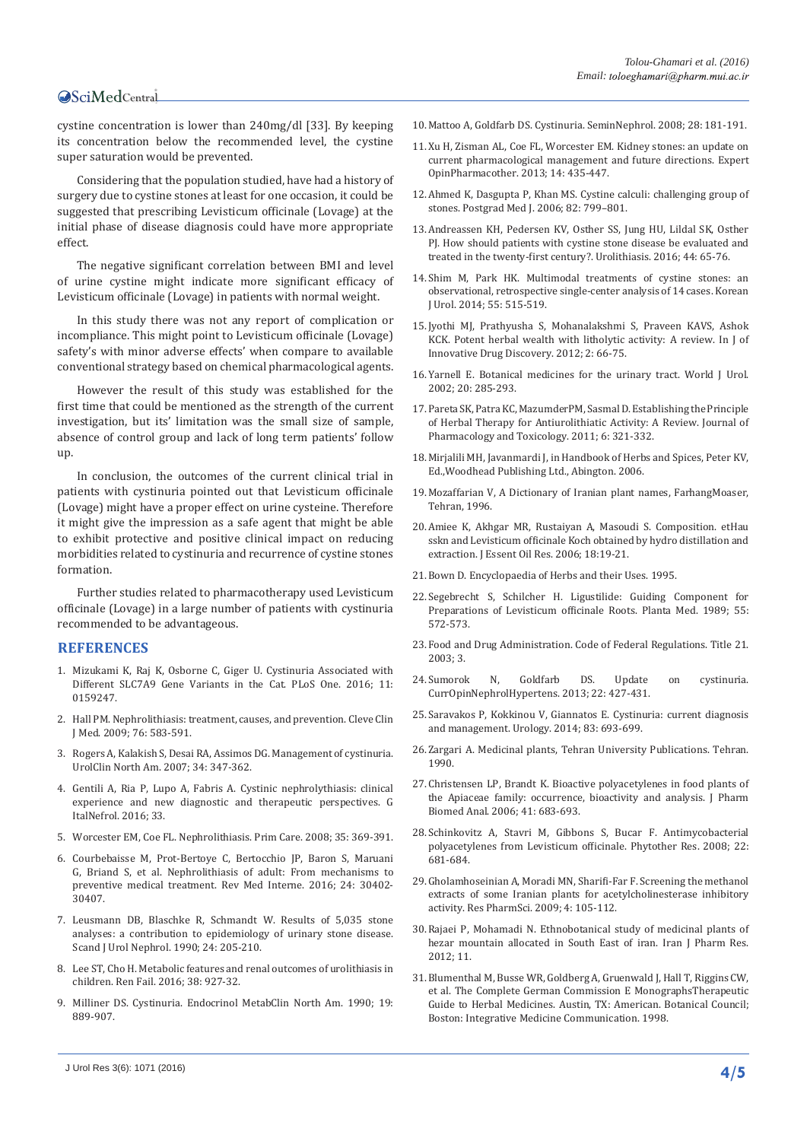cystine concentration is lower than 240mg/dl [33]. By keeping its concentration below the recommended level, the cystine super saturation would be prevented.

Considering that the population studied, have had a history of surgery due to cystine stones at least for one occasion, it could be suggested that prescribing Levisticum officinale (Lovage) at the initial phase of disease diagnosis could have more appropriate effect.

The negative significant correlation between BMI and level of urine cystine might indicate more significant efficacy of Levisticum officinale (Lovage) in patients with normal weight.

In this study there was not any report of complication or incompliance. This might point to Levisticum officinale (Lovage) safety's with minor adverse effects' when compare to available conventional strategy based on chemical pharmacological agents.

However the result of this study was established for the first time that could be mentioned as the strength of the current investigation, but its' limitation was the small size of sample, absence of control group and lack of long term patients' follow up.

In conclusion, the outcomes of the current clinical trial in patients with cystinuria pointed out that Levisticum officinale (Lovage) might have a proper effect on urine cysteine. Therefore it might give the impression as a safe agent that might be able to exhibit protective and positive clinical impact on reducing morbidities related to cystinuria and recurrence of cystine stones formation.

Further studies related to pharmacotherapy used Levisticum officinale (Lovage) in a large number of patients with cystinuria recommended to be advantageous.

#### **REFERENCES**

- 1. [Mizukami K, Raj K, Osborne C, Giger U. Cystinuria Associated with](https://www.ncbi.nlm.nih.gov/pmc/articles/PMC4942060/)  [Different SLC7A9 Gene Variants in the Cat. PLoS One. 2016; 11:](https://www.ncbi.nlm.nih.gov/pmc/articles/PMC4942060/)  [0159247.](https://www.ncbi.nlm.nih.gov/pmc/articles/PMC4942060/)
- 2. [Hall PM. Nephrolithiasis: treatment, causes, and prevention. Cleve Clin](https://www.ncbi.nlm.nih.gov/pubmed/19797458)  [J Med. 2009; 76: 583-591.](https://www.ncbi.nlm.nih.gov/pubmed/19797458)
- 3. [Rogers A, Kalakish S, Desai RA, Assimos DG. Management of cystinuria.](https://www.ncbi.nlm.nih.gov/pubmed/17678985)  [UrolClin North Am. 2007; 34: 347-362.](https://www.ncbi.nlm.nih.gov/pubmed/17678985)
- 4. [Gentili A, Ria P, Lupo A, Fabris A. Cystinic nephrolythiasis: clinical](https://www.ncbi.nlm.nih.gov/pubmed/27374390)  [experience and new diagnostic and therapeutic perspectives. G](https://www.ncbi.nlm.nih.gov/pubmed/27374390)  [ItalNefrol. 2016; 33.](https://www.ncbi.nlm.nih.gov/pubmed/27374390)
- 5. [Worcester EM, Coe FL. Nephrolithiasis. Prim Care. 2008; 35: 369-391.](https://www.ncbi.nlm.nih.gov/pmc/articles/PMC2518455/)
- 6. [Courbebaisse M, Prot-Bertoye C, Bertocchio JP, Baron S, Maruani](https://www.ncbi.nlm.nih.gov/pubmed/27349612)  [G, Briand S, et al. Nephrolithiasis of adult: From mechanisms to](https://www.ncbi.nlm.nih.gov/pubmed/27349612)  [preventive medical treatment. Rev Med Interne. 2016; 24: 30402-](https://www.ncbi.nlm.nih.gov/pubmed/27349612) [30407.](https://www.ncbi.nlm.nih.gov/pubmed/27349612)
- 7. [Leusmann DB, Blaschke R, Schmandt W. Results of 5,035 stone](https://www.ncbi.nlm.nih.gov/pubmed/2237297)  [analyses: a contribution to epidemiology of urinary stone disease.](https://www.ncbi.nlm.nih.gov/pubmed/2237297)  [Scand J Urol Nephrol. 1990; 24: 205-210.](https://www.ncbi.nlm.nih.gov/pubmed/2237297)
- 8. [Lee ST, Cho H. Metabolic features and renal outcomes of urolithiasis in](https://www.ncbi.nlm.nih.gov/pubmed/27098938)  [children. Ren Fail. 2016; 38: 927-32.](https://www.ncbi.nlm.nih.gov/pubmed/27098938)
- 9. [Milliner DS. Cystinuria. Endocrinol MetabClin North Am. 1990; 19:](https://www.ncbi.nlm.nih.gov/pubmed/2081517)  [889-907.](https://www.ncbi.nlm.nih.gov/pubmed/2081517)
- 10.[Mattoo A, Goldfarb DS. Cystinuria. SeminNephrol. 2008; 28: 181-191.](https://www.ncbi.nlm.nih.gov/pubmed/18359399)
- 11.[Xu H, Zisman AL, Coe FL, Worcester EM. Kidney stones: an update on](https://www.ncbi.nlm.nih.gov/pubmed/23438422)  [current pharmacological management and future directions. Expert](https://www.ncbi.nlm.nih.gov/pubmed/23438422)  [OpinPharmacother. 2013; 14: 435-447.](https://www.ncbi.nlm.nih.gov/pubmed/23438422)
- 12.[Ahmed K, Dasgupta P, Khan MS. Cystine calculi: challenging group of](https://www.ncbi.nlm.nih.gov/pubmed/17148700)  [stones. Postgrad Med J. 2006; 82: 799–801.](https://www.ncbi.nlm.nih.gov/pubmed/17148700)
- 13.[Andreassen KH, Pedersen KV, Osther SS, Jung HU, Lildal SK, Osther](https://www.ncbi.nlm.nih.gov/pubmed/26614112)  [PJ. How should patients with cystine stone disease be evaluated and](https://www.ncbi.nlm.nih.gov/pubmed/26614112)  [treated in the twenty-first century?. Urolithiasis. 2016; 44: 65-76.](https://www.ncbi.nlm.nih.gov/pubmed/26614112)
- 14.[Shim M, Park HK. Multimodal treatments of cystine stones: an](https://www.ncbi.nlm.nih.gov/pmc/articles/PMC4131079/)  [observational, retrospective single-center analysis of 14 cases. Korean](https://www.ncbi.nlm.nih.gov/pmc/articles/PMC4131079/)  [J Urol. 2014; 55: 515-519.](https://www.ncbi.nlm.nih.gov/pmc/articles/PMC4131079/)
- 15.[Jyothi MJ, Prathyusha S, Mohanalakshmi S, Praveen KAVS, Ashok](http://www.ijidd.com/File_Folder/66-75.pdf)  [KCK. Potent herbal wealth with litholytic activity: A review. In J of](http://www.ijidd.com/File_Folder/66-75.pdf)  [Innovative Drug Discovery. 2012; 2: 66-75.](http://www.ijidd.com/File_Folder/66-75.pdf)
- 16.[Yarnell E. Botanical medicines for the urinary tract. World J Urol.](https://www.ncbi.nlm.nih.gov/pubmed/12522584)  [2002; 20: 285-293.](https://www.ncbi.nlm.nih.gov/pubmed/12522584)
- 17.[Pareta SK, Patra KC, MazumderPM, Sasmal D. Establishing the Principle](http://scialert.net/fulltext/?doi=jpt.2011.321.332&org=10)  [of Herbal Therapy for Antiurolithiatic Activity: A Review.](http://scialert.net/fulltext/?doi=jpt.2011.321.332&org=10) Journal of [Pharmacology and Toxicology. 2011; 6: 321-332.](http://scialert.net/fulltext/?doi=jpt.2011.321.332&org=10)
- 18.[Mirjalili MH, Javanmardi J, in Handbook of Herbs and Spices, Peter KV,](http://www.sciencedirect.com/science/book/9780857090393)  [Ed.,Woodhead Publishing Ltd., Abington. 2006.](http://www.sciencedirect.com/science/book/9780857090393)
- 19.[Mozaffarian V, A Dictionary of Iranian plant names, FarhangMoaser,](http://www.oalib.com/references/15365296)  [Tehran, 1996.](http://www.oalib.com/references/15365296)
- 20.[Amiee K, Akhgar MR, Rustaiyan A, Masoudi S. Composition. etHau](http://www.tandfonline.com/doi/abs/10.1080/10412905.2006.9699374?src=recsys&)  sskn and Levisticum officinale [Koch obtained by hydro distillation and](http://www.tandfonline.com/doi/abs/10.1080/10412905.2006.9699374?src=recsys&)  extraction. J Essent Oil Res. [2006; 18:19-21.](http://www.tandfonline.com/doi/abs/10.1080/10412905.2006.9699374?src=recsys&)
- 21.[Bown D. Encyclopaedia of Herbs and their Uses. 1995.](https://books.google.co.in/books/about/Encyclopedia_of_Herbs_and_Their_Uses.html?id=Pr4SAQAAMAAJ)
- 22.[Segebrecht S, Schilcher H. Ligustilide: Guiding Component for](https://www.ncbi.nlm.nih.gov/pubmed/17262483)  [Preparations of Levisticum officinale Roots. Planta Med. 1989; 55:](https://www.ncbi.nlm.nih.gov/pubmed/17262483)  [572-573.](https://www.ncbi.nlm.nih.gov/pubmed/17262483)
- 23.[Food and Drug Administration. Code of Federal Regulations. Title 21.](https://www.accessdata.fda.gov/scripts/cdrh/cfdocs/cfcfr/CFRSearch.cfm)  [2003; 3.](https://www.accessdata.fda.gov/scripts/cdrh/cfdocs/cfcfr/CFRSearch.cfm)
- 24.[Sumorok N, Goldfarb DS. Update on cystinuria.](https://www.researchgate.net/publication/236692242_Update_on_cystinuria)  [CurrOpinNephrolHypertens. 2013; 22: 427-431.](https://www.researchgate.net/publication/236692242_Update_on_cystinuria)
- 25.[Saravakos P, Kokkinou V, Giannatos E. Cystinuria: current diagnosis](https://www.ncbi.nlm.nih.gov/pubmed/24246330)  [and management. Urology. 2014; 83: 693-699.](https://www.ncbi.nlm.nih.gov/pubmed/24246330)
- 26.[Zargari A. Medicinal plants, Tehran University Publications. Tehran.](https://books.google.co.in/books/about/Medicinal_plants.html?id=SPdJnQEACAAJ&redir_esc=y)  [1990.](https://books.google.co.in/books/about/Medicinal_plants.html?id=SPdJnQEACAAJ&redir_esc=y)
- 27.[Christensen LP, Brandt K. Bioactive polyacetylenes in food plants of](https://www.ncbi.nlm.nih.gov/pubmed/16520011.)  [the Apiaceae family: occurrence, bioactivity and analysis. J Pharm](https://www.ncbi.nlm.nih.gov/pubmed/16520011.)  [Biomed Anal. 2006; 41: 683-693.](https://www.ncbi.nlm.nih.gov/pubmed/16520011.)
- 28.[Schinkovitz A, Stavri M, Gibbons S, Bucar F. Antimycobacterial](https://www.ncbi.nlm.nih.gov/pubmed/18350523)  [polyacetylenes from Levisticum officinale. Phytother Res. 2008; 22:](https://www.ncbi.nlm.nih.gov/pubmed/18350523)  [681-684.](https://www.ncbi.nlm.nih.gov/pubmed/18350523)
- 29.[Gholamhoseinian A, Moradi MN, Sharifi-Far F. Screening the methanol](https://www.ncbi.nlm.nih.gov/pubmed/21589805)  [extracts of some Iranian plants for acetylcholinesterase inhibitory](https://www.ncbi.nlm.nih.gov/pubmed/21589805)  [activity. Res PharmSci. 2009; 4: 105-112.](https://www.ncbi.nlm.nih.gov/pubmed/21589805)
- 30.[Rajaei P, Mohamadi N. Ethnobotanical study of medicinal plants of](https://www.ncbi.nlm.nih.gov/pmc/articles/PMC3813156/)  [hezar mountain allocated in South East of iran. Iran J Pharm Res.](https://www.ncbi.nlm.nih.gov/pmc/articles/PMC3813156/)  [2012; 11.](https://www.ncbi.nlm.nih.gov/pmc/articles/PMC3813156/)
- 31.[Blumenthal M, Busse WR, Goldberg A, Gruenwald J, Hall T, Riggins CW,](http://annals.org/article.aspx?articleid=712613)  [et al. The Complete German Commission E MonographsTherapeutic](http://annals.org/article.aspx?articleid=712613)  [Guide to Herbal Medicines. Austin, TX: American. Botanical Council;](http://annals.org/article.aspx?articleid=712613)  [Boston: Integrative Medicine Communication. 1998.](http://annals.org/article.aspx?articleid=712613)